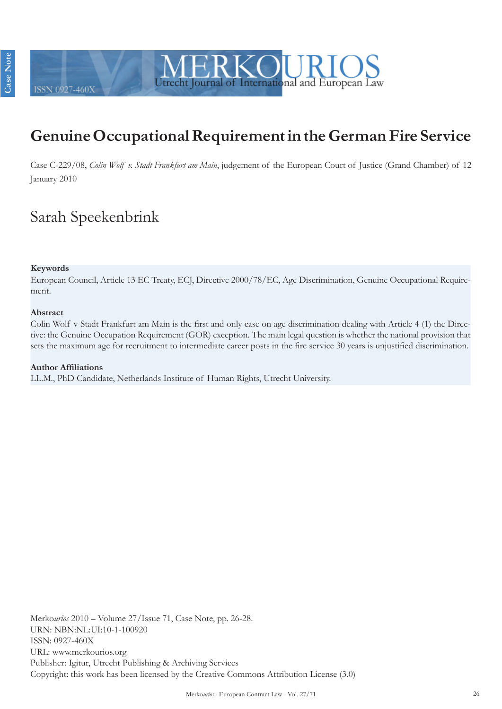

# **Genuine Occupational Requirement in the German Fire Service**

Case C-229/08, *Colin Wolf v. Stadt Frankfurt am Main*, judgement of the European Court of Justice (Grand Chamber) of 12 January 2010

# Sarah Speekenbrink

#### **Keywords**

ISSN 0927-4603

European Council, Article 13 EC Treaty, ECJ, Directive 2000/78/EC, Age Discrimination, Genuine Occupational Requirement.

#### **Abstract**

Colin Wolf v Stadt Frankfurt am Main is the first and only case on age discrimination dealing with Article 4 (1) the Directive: the Genuine Occupation Requirement (GOR) exception. The main legal question is whether the national provision that sets the maximum age for recruitment to intermediate career posts in the fire service 30 years is unjustified discrimination.

#### **Author Affiliations** LL.M., PhD Candidate, Netherlands Institute of Human Rights, Utrecht University.

Merko*urios* 2010 – Volume 27/Issue 71, Case Note, pp. 26-28. URN: NBN:NL:UI:10-1-100920 ISSN: 0927-460X URL: www.merkourios.org Publisher: Igitur, Utrecht Publishing & Archiving Services Copyright: this work has been licensed by the Creative Commons Attribution License (3.0)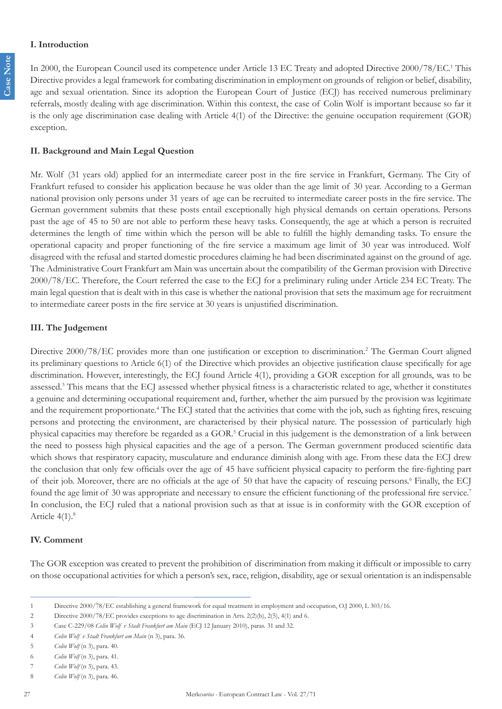#### **I. Introduction**

In 2000, the European Council used its competence under Article 13 EC Treaty and adopted Directive 2000/78/EC.<sup>1</sup> This Directive provides a legal framework for combating discrimination in employment on grounds of religion or belief, disability, age and sexual orientation. Since its adoption the European Court of Justice (ECJ) has received numerous preliminary referrals, mostly dealing with age discrimination. Within this context, the case of Colin Wolf is important because so far it is the only age discrimination case dealing with Article 4(1) of the Directive: the genuine occupation requirement (GOR) exception.

### **II. Background and Main Legal Question**

Mr. Wolf (31 years old) applied for an intermediate career post in the fire service in Frankfurt, Germany. The City of Frankfurt refused to consider his application because he was older than the age limit of 30 year. According to a German national provision only persons under 31 years of age can be recruited to intermediate career posts in the fire service. The German government submits that these posts entail exceptionally high physical demands on certain operations. Persons past the age of 45 to 50 are not able to perform these heavy tasks. Consequently, the age at which a person is recruited determines the length of time within which the person will be able to fulfill the highly demanding tasks. To ensure the operational capacity and proper functioning of the fire service a maximum age limit of 30 year was introduced. Wolf disagreed with the refusal and started domestic procedures claiming he had been discriminated against on the ground of age. The Administrative Court Frankfurt am Main was uncertain about the compatibility of the German provision with Directive 2000/78/EC. Therefore, the Court referred the case to the ECJ for a preliminary ruling under Article 234 EC Treaty. The main legal question that is dealt with in this case is whether the national provision that sets the maximum age for recruitment to intermediate career posts in the fire service at 30 years is unjustified discrimination.

## **III. The Judgement**

Directive 2000/78/EC provides more than one justification or exception to discrimination.<sup>2</sup> The German Court aligned its preliminary questions to Article 6(1) of the Directive which provides an objective justification clause specifically for age discrimination. However, interestingly, the ECJ found Article 4(1), providing a GOR exception for all grounds, was to be assessed.<sup>3</sup> This means that the ECJ assessed whether physical fitness is a characteristic related to age, whether it constitutes a genuine and determining occupational requirement and, further, whether the aim pursued by the provision was legitimate and the requirement proportionate.<sup>4</sup> The ECJ stated that the activities that come with the job, such as fighting fires, rescuing persons and protecting the environment, are characterised by their physical nature. The possession of particularly high physical capacities may therefore be regarded as a GOR.<sup>5</sup> Crucial in this judgement is the demonstration of a link between the need to possess high physical capacities and the age of a person. The German government produced scientific data which shows that respiratory capacity, musculature and endurance diminish along with age. From these data the ECJ drew the conclusion that only few officials over the age of 45 have sufficient physical capacity to perform the fire-fighting part of their job. Moreover, there are no officials at the age of 50 that have the capacity of rescuing persons.<sup>6</sup> Finally, the ECJ found the age limit of 30 was appropriate and necessary to ensure the efficient functioning of the professional fire service.<sup>7</sup> In conclusion, the ECJ ruled that a national provision such as that at issue is in conformity with the GOR exception of Article 4(1).<sup>8</sup>

#### **IV. Comment**

The GOR exception was created to prevent the prohibition of discrimination from making it difficult or impossible to carry on those occupational activities for which a person's sex, race, religion, disability, age or sexual orientation is an indispensable

<sup>1</sup> Directive 2000/78/EC establishing a general framework for equal treatment in employment and occupation, O.J 2000, L 303/16.

<sup>2</sup> Directive 2000/78/EC provides exceptions to age discrimination in Arts. 2(2)(b), 2(5), 4(1) and 6.

<sup>3</sup> Case C-229/08 *Colin Wolf v Stadt Frankfurt am Main* (ECJ 12 January 2010), paras. 31 and 32.

<sup>4</sup> *Colin Wolf v Stadt Frankfurt am Main* (n 3), para. 36.

<sup>5</sup> *Colin Wolf* (n 3), para. 40.

<sup>6</sup> *Colin Wolf* (n 3), para. 41.

<sup>7</sup> *Colin Wolf* (n 3), para. 43.

<sup>8</sup> *Colin Wolf* (n 3), para. 46.